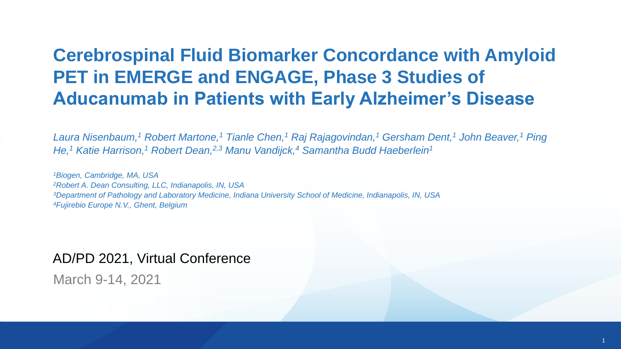#### **Cerebrospinal Fluid Biomarker Concordance with Amyloid PET in EMERGE and ENGAGE, Phase 3 Studies of Aducanumab in Patients with Early Alzheimer's Disease**

*Laura Nisenbaum,<sup>1</sup> Robert Martone,<sup>1</sup> Tianle Chen,<sup>1</sup> Raj Rajagovindan,<sup>1</sup> Gersham Dent,<sup>1</sup> John Beaver,<sup>1</sup> Ping He,<sup>1</sup> Katie Harrison,<sup>1</sup> Robert Dean,2,3 Manu Vandijck,<sup>4</sup> Samantha Budd Haeberlein<sup>1</sup>*

*Biogen, Cambridge, MA, USA Robert A. Dean Consulting, LLC, Indianapolis, IN, USA Department of Pathology and Laboratory Medicine, Indiana University School of Medicine, Indianapolis, IN, USA Fujirebio Europe N.V., Ghent, Belgium*

#### AD/PD 2021, Virtual Conference

March 9-14, 2021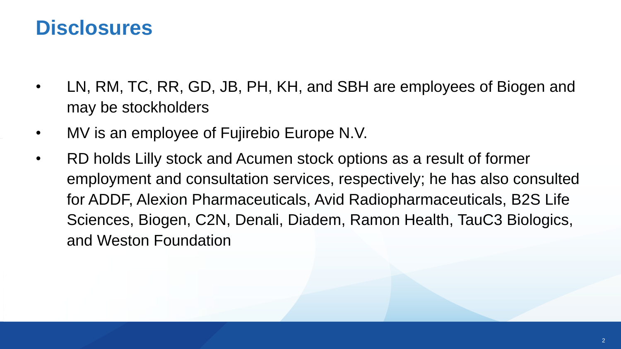### **Disclosures**

- LN, RM, TC, RR, GD, JB, PH, KH, and SBH are employees of Biogen and may be stockholders
- MV is an employee of Fujirebio Europe N.V.
- RD holds Lilly stock and Acumen stock options as a result of former employment and consultation services, respectively; he has also consulted for ADDF, Alexion Pharmaceuticals, Avid Radiopharmaceuticals, B2S Life Sciences, Biogen, C2N, Denali, Diadem, Ramon Health, TauC3 Biologics, and Weston Foundation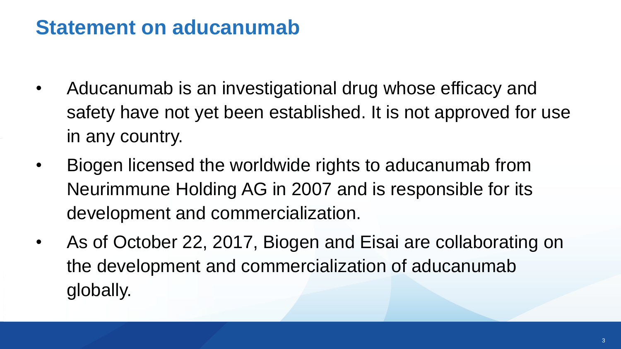## **Statement on aducanumab**

- Aducanumab is an investigational drug whose efficacy and safety have not yet been established. It is not approved for use in any country.
- Biogen licensed the worldwide rights to aducanumab from Neurimmune Holding AG in 2007 and is responsible for its development and commercialization.
- As of October 22, 2017, Biogen and Eisai are collaborating on the development and commercialization of aducanumab globally.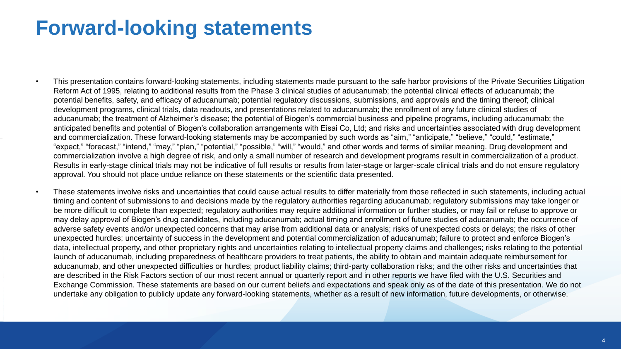### **Forward-looking statements**

- This presentation contains forward-looking statements, including statements made pursuant to the safe harbor provisions of the Private Securities Litigation Reform Act of 1995, relating to additional results from the Phase 3 clinical studies of aducanumab; the potential clinical effects of aducanumab; the potential benefits, safety, and efficacy of aducanumab; potential regulatory discussions, submissions, and approvals and the timing thereof; clinical development programs, clinical trials, data readouts, and presentations related to aducanumab; the enrollment of any future clinical studies of aducanumab; the treatment of Alzheimer's disease; the potential of Biogen's commercial business and pipeline programs, including aducanumab; the anticipated benefits and potential of Biogen's collaboration arrangements with Eisai Co, Ltd; and risks and uncertainties associated with drug development and commercialization. These forward-looking statements may be accompanied by such words as "aim," "anticipate," "believe," "could," "estimate," "expect," "forecast," "intend," "may," "plan," "potential," "possible," "will," "would," and other words and terms of similar meaning. Drug development and commercialization involve a high degree of risk, and only a small number of research and development programs result in commercialization of a product. Results in early-stage clinical trials may not be indicative of full results or results from later-stage or larger-scale clinical trials and do not ensure regulatory approval. You should not place undue reliance on these statements or the scientific data presented.
	- These statements involve risks and uncertainties that could cause actual results to differ materially from those reflected in such statements, including actual timing and content of submissions to and decisions made by the regulatory authorities regarding aducanumab; regulatory submissions may take longer or be more difficult to complete than expected; regulatory authorities may require additional information or further studies, or may fail or refuse to approve or may delay approval of Biogen's drug candidates, including aducanumab; actual timing and enrollment of future studies of aducanumab; the occurrence of adverse safety events and/or unexpected concerns that may arise from additional data or analysis; risks of unexpected costs or delays; the risks of other unexpected hurdles; uncertainty of success in the development and potential commercialization of aducanumab; failure to protect and enforce Biogen's data, intellectual property, and other proprietary rights and uncertainties relating to intellectual property claims and challenges; risks relating to the potential launch of aducanumab, including preparedness of healthcare providers to treat patients, the ability to obtain and maintain adequate reimbursement for aducanumab, and other unexpected difficulties or hurdles; product liability claims; third-party collaboration risks; and the other risks and uncertainties that are described in the Risk Factors section of our most recent annual or quarterly report and in other reports we have filed with the U.S. Securities and Exchange Commission. These statements are based on our current beliefs and expectations and speak only as of the date of this presentation. We do not undertake any obligation to publicly update any forward-looking statements, whether as a result of new information, future developments, or otherwise.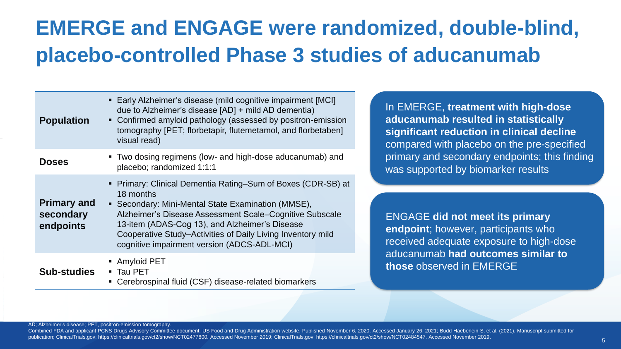## **EMERGE and ENGAGE were randomized, double-blind, placebo-controlled Phase 3 studies of aducanumab**

| <b>Population</b>                            | • Early Alzheimer's disease (mild cognitive impairment [MCI]<br>due to Alzheimer's disease [AD] + mild AD dementia)<br>• Confirmed amyloid pathology (assessed by positron-emission<br>tomography [PET; florbetapir, flutemetamol, and florbetaben]<br>visual read)                                                                                        |  |
|----------------------------------------------|------------------------------------------------------------------------------------------------------------------------------------------------------------------------------------------------------------------------------------------------------------------------------------------------------------------------------------------------------------|--|
| <b>Doses</b>                                 | • Two dosing regimens (low- and high-dose aducanumab) and<br>placebo; randomized 1:1:1                                                                                                                                                                                                                                                                     |  |
| <b>Primary and</b><br>secondary<br>endpoints | • Primary: Clinical Dementia Rating–Sum of Boxes (CDR-SB) at<br>18 months<br>• Secondary: Mini-Mental State Examination (MMSE),<br>Alzheimer's Disease Assessment Scale-Cognitive Subscale<br>13-item (ADAS-Cog 13), and Alzheimer's Disease<br>Cooperative Study-Activities of Daily Living Inventory mild<br>cognitive impairment version (ADCS-ADL-MCI) |  |
| <b>Sub-studies</b>                           | • Amyloid PET<br>■ Tau PET<br>Cerebrospinal fluid (CSF) disease-related biomarkers                                                                                                                                                                                                                                                                         |  |

In EMERGE, **treatment with high-dose aducanumab resulted in statistically significant reduction in clinical decline**  compared with placebo on the pre-specified primary and secondary endpoints; this finding was supported by biomarker results

ENGAGE **did not meet its primary endpoint**; however, participants who received adequate exposure to high-dose aducanumab **had outcomes similar to those** observed in EMERGE

AD; Alzheimer's disease; PET, positron-emission tomography.

Combined FDA and applicant PCNS Drugs Advisory Committee document. US Food and Drug Administration website. Published November 6, 2020. Accessed January 26, 2021; Budd Haeberlein S, et al. (2021). Manuscript submitted for publication; ClinicalTrials.gov: https://clinicaltrials.gov/ct2/show/NCT02477800. Accessed November 2019; ClinicalTrials.gov: https://clinicaltrials.gov/ct2/show/NCT02484547. Accessed November 2019.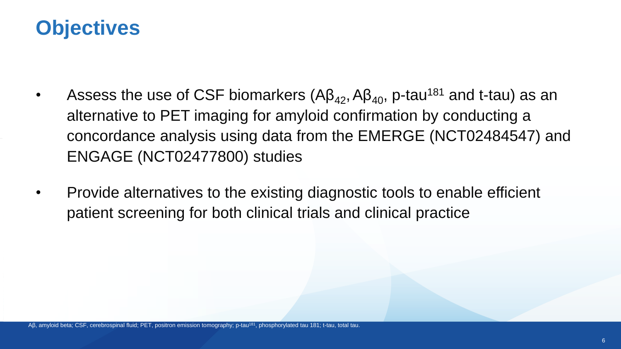## **Objectives**

- Assess the use of CSF biomarkers  $(AB_{42}, AB_{40}, p$ -tau<sup>181</sup> and t-tau) as an alternative to PET imaging for amyloid confirmation by conducting a concordance analysis using data from the EMERGE (NCT02484547) and ENGAGE (NCT02477800) studies
- Provide alternatives to the existing diagnostic tools to enable efficient patient screening for both clinical trials and clinical practice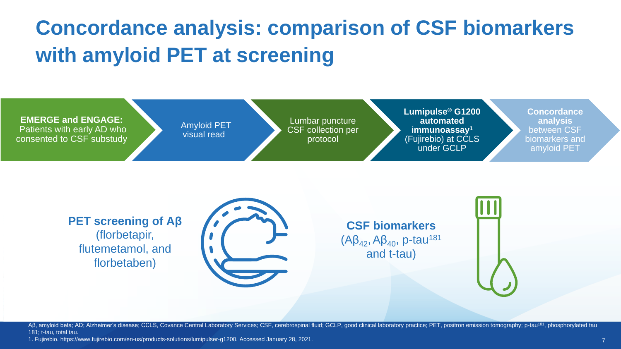# **Concordance analysis: comparison of CSF biomarkers with amyloid PET at screening**



**PET screening of Aβ** (florbetapir, flutemetamol, and florbetaben)



**CSF biomarkers**  $(A\beta_{42},A\beta_{40},p$ -tau<sup>181</sup> and t-tau)

AB, amyloid beta; AD; Alzheimer's disease; CCLS, Covance Central Laboratory Services; CSF, cerebrospinal fluid; GCLP, good clinical laboratory practice; PET, positron emission tomography; p-tau<sup>181</sup>, phosphorylated tau 181; t-tau, total tau.

1. Fujirebio. https://www.fujirebio.com/en-us/products-solutions/lumipulser-g1200. Accessed January 28, 2021.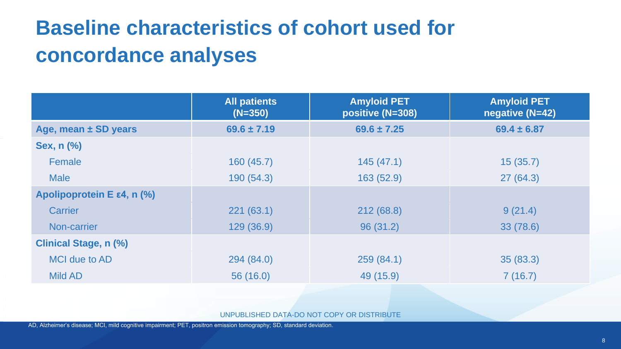# **Baseline characteristics of cohort used for concordance analyses**

|                              | <b>All patients</b><br>$(N=350)$ | <b>Amyloid PET</b><br>positive (N=308) | <b>Amyloid PET</b><br>negative (N=42) |
|------------------------------|----------------------------------|----------------------------------------|---------------------------------------|
| Age, mean ± SD years         | $69.6 \pm 7.19$                  | $69.6 \pm 7.25$                        | $69.4 \pm 6.87$                       |
| <b>Sex, n (%)</b>            |                                  |                                        |                                       |
| Female                       | 160(45.7)                        | 145(47.1)                              | 15(35.7)                              |
| <b>Male</b>                  | 190(54.3)                        | 163(52.9)                              | 27(64.3)                              |
| Apolipoprotein E ε4, n (%)   |                                  |                                        |                                       |
| Carrier                      | 221(63.1)                        | 212 (68.8)                             | 9(21.4)                               |
| Non-carrier                  | 129(36.9)                        | 96(31.2)                               | 33 (78.6)                             |
| <b>Clinical Stage, n (%)</b> |                                  |                                        |                                       |
| MCI due to AD                | 294 (84.0)                       | 259(84.1)                              | 35(83.3)                              |
| <b>Mild AD</b>               | 56(16.0)                         | 49 (15.9)                              | 7(16.7)                               |

UNPUBLISHED DATA-DO NOT COPY OR DISTRIBUTE

AD, Alzheimer's disease; MCI, mild cognitive impairment; PET, positron emission tomography; SD, standard deviation.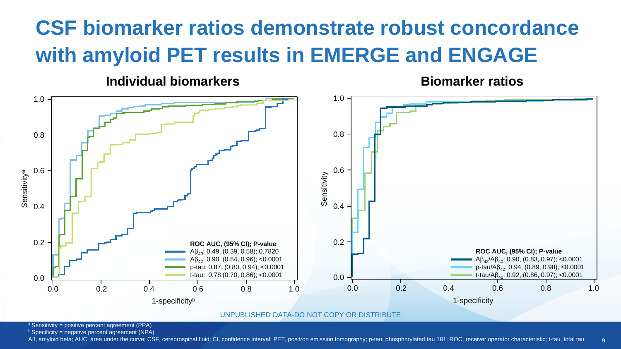## **CSF biomarker ratios demonstrate robust concordance with amyloid PET results in EMERGE and ENGAGE**

**Individual biomarkers**

**Biomarker ratios**

 $\alpha$ 



UNPUBLISHED DATA-DO NOT COPY OR DISTRIBUTE

 $a$  Sensitivity = positive percent agreement (PPA)

 $b$  Specificity = negative percent agreement (NPA)

AB, amyloid beta; AUC, area under the curve; CSF, cerebrospinal fluid; CI, confidence interval; PET, positron emission tomography; p-tau, phosphorylated tau 181; ROC, receiver operator characteristic; t-tau, total tau.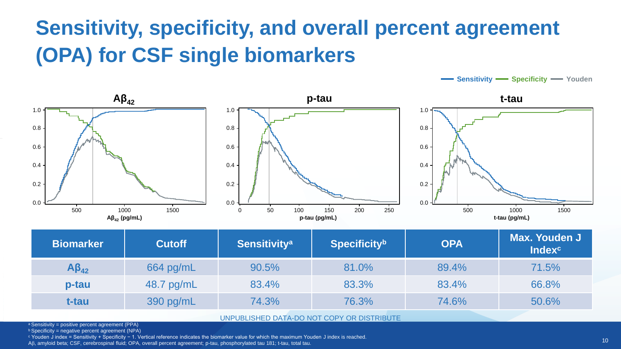## **Sensitivity, specificity, and overall percent agreement (OPA) for CSF single biomarkers**



| <b>Biomarker</b>                              | <b>Cutoff</b> | <b>Sensitivity<sup>a</sup></b> | <b>Specificityb</b> | <b>OPA</b> | <b>Max. Youden J</b><br><b>Index<sup>c</sup></b> |  |  |  |
|-----------------------------------------------|---------------|--------------------------------|---------------------|------------|--------------------------------------------------|--|--|--|
| $AB_{42}$                                     | 664 pg/mL     | 90.5%                          | 81.0%               | 89.4%      | 71.5%                                            |  |  |  |
| p-tau                                         | 48.7 pg/mL    | 83.4%                          | 83.3%               | 83.4%      | 66.8%                                            |  |  |  |
| t-tau                                         | 390 pg/mL     | 74.3%                          | 76.3%               | 74.6%      | 50.6%                                            |  |  |  |
| LINDLIALICUED DATA DO NOT CODY OD DICTOIDLITE |               |                                |                     |            |                                                  |  |  |  |

UNPUBLISHED DATA-DO NOT COPY OR DISTRIBUTE

 $a$  Sensitivity = positive percent agreement (PPA)

 $b$  Specificity = negative percent agreement (NPA)

<sup>c</sup> Youden J index = Sensitivity + Specificity − 1. Vertical reference indicates the biomarker value for which the maximum Youden J index is reached.

A, amyloid beta; CSF, cerebrospinal fluid; OPA, overall percent agreement; p-tau, phosphorylated tau 181; t-tau, total tau.

**Sensitivity Specificity We Youden**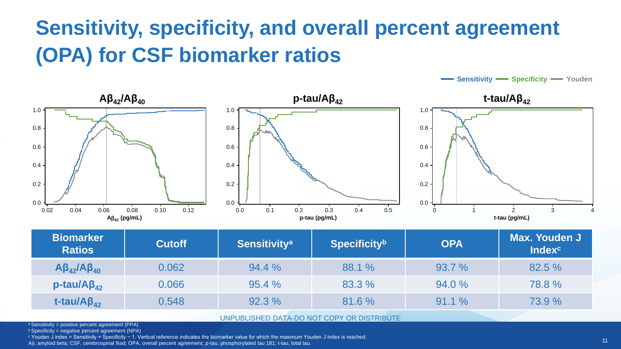## **Sensitivity, specificity, and overall percent agreement (OPA) for CSF biomarker ratios**



| <b>Biomarker</b><br><b>Ratios</b> | <b>Cutoff</b> | <b>Sensitivity<sup>a</sup></b> | <b>Specificity</b> b | <b>OPA</b> | <b>Max. Youden J</b><br><b>Index<sup>c</sup></b> |  |  |  |  |
|-----------------------------------|---------------|--------------------------------|----------------------|------------|--------------------------------------------------|--|--|--|--|
| $A\beta_{42}A\beta_{40}$          | 0.062         | 94.4%                          | 88.1 %               | 93.7 %     | 82.5 %                                           |  |  |  |  |
| $p$ -tau/A $\beta_{42}$           | 0.066         | 95.4%                          | 83.3 %               | 94.0 %     | 78.8%                                            |  |  |  |  |
| t-tau/ $AB_{42}$                  | 0.548         | 92.3%                          | 81.6%                | 91.1%      | 73.9 %                                           |  |  |  |  |
|                                   |               |                                |                      |            |                                                  |  |  |  |  |

UNPUBLISHED DATA-DO NOT COPY OR DISTRIBUTE

 $a$  Sensitivity = positive percent agreement (PPA)

 $b$  Specificity = negative percent agreement (NPA)

<sup>c</sup> Youden J index = Sensitivity + Specificity − 1. Vertical reference indicates the biomarker value for which the maximum Youden J index is reached.

A, amyloid beta; CSF, cerebrospinal fluid; OPA, overall percent agreement; p-tau, phosphorylated tau 181; t-tau, total tau.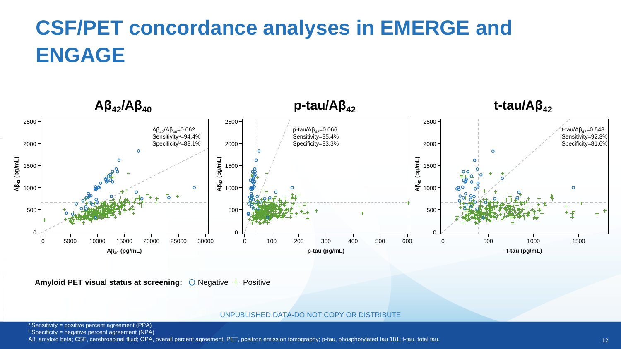# **CSF/PET concordance analyses in EMERGE and ENGAGE**



**Amyloid PET visual status at screening:**  $\bigcirc$  Negative  $+$  Positive

UNPUBLISHED DATA-DO NOT COPY OR DISTRIBUTE

 $a$  Sensitivity = positive percent agreement (PPA)

 $b$  Specificity = negative percent agreement (NPA)

AB, amyloid beta; CSF, cerebrospinal fluid; OPA, overall percent agreement; PET, positron emission tomography; p-tau, phosphorylated tau 181; t-tau, total tau.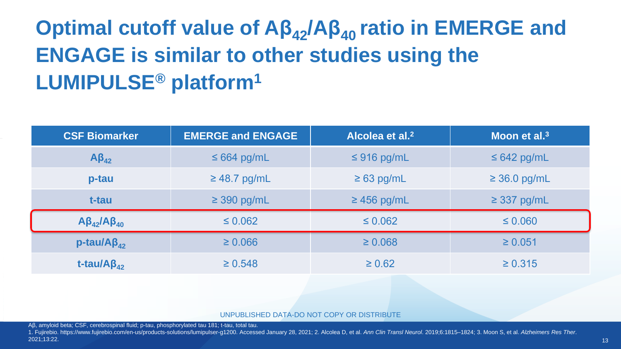# **Optimal cutoff value of Aβ42/Aβ40 ratio in EMERGE and ENGAGE is similar to other studies using the LUMIPULSE® platform<sup>1</sup>**

| <b>CSF Biomarker</b>      | <b>EMERGE and ENGAGE</b>             | Alcolea et al. <sup>2</sup> | Moon et al. $3$   |  |  |
|---------------------------|--------------------------------------|-----------------------------|-------------------|--|--|
| $A\beta_{42}$             | $\leq 664$ pg/mL                     | $\leq$ 916 pg/mL            | $\leq 642$ pg/mL  |  |  |
| p-tau                     | $\geq$ 48.7 pg/mL<br>$\geq 63$ pg/mL |                             | $\geq$ 36.0 pg/mL |  |  |
| t-tau                     | $\geq$ 390 pg/mL                     | $\geq$ 456 pg/mL            | $\geq$ 337 pg/mL  |  |  |
| $A\beta_{42}/A\beta_{40}$ | $\leq 0.062$                         | $\leq 0.062$                | $\leq 0.060$      |  |  |
| $p$ -tau/A $\beta_{42}$   | $\geq 0.066$                         | $\geq 0.068$                | $\geq 0.051$      |  |  |
| t-tau/ $AB_{42}$          | $\geq 0.548$                         | $\geq 0.62$                 | $\ge 0.315$       |  |  |

UNPUBLISHED DATA-DO NOT COPY OR DISTRIBUTE

Aβ, amyloid beta; CSF, cerebrospinal fluid; p-tau, phosphorylated tau 181; t-tau, total tau.

1. Fujirebio. https://www.fujirebio.com/en-us/products-solutions/lumipulser-g1200. Accessed January 28, 2021; 2. Alcolea D, et al. Ann Clin Transl Neurol. 2019;6:1815-1824; 3. Moon S, et al. Alzheimers Res Ther. 2021;13:22.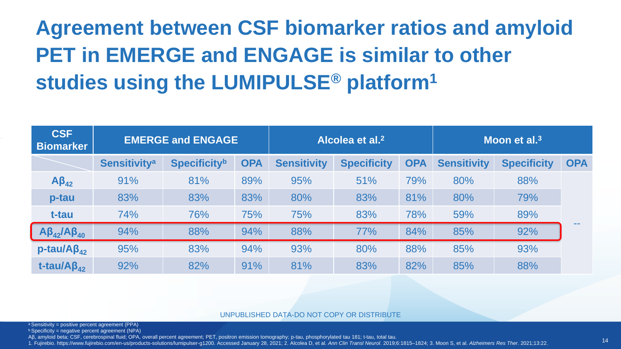# **Agreement between CSF biomarker ratios and amyloid PET in EMERGE and ENGAGE is similar to other studies using the LUMIPULSE® platform<sup>1</sup>**

| <b>CSF</b><br><b>Biomarker</b> | <b>EMERGE and ENGAGE</b>       |                     |            | Alcolea et al. <sup>2</sup> |                    |            | Moon et al. $3$    |                    |            |
|--------------------------------|--------------------------------|---------------------|------------|-----------------------------|--------------------|------------|--------------------|--------------------|------------|
|                                | <b>Sensitivity<sup>a</sup></b> | <b>Specificityb</b> | <b>OPA</b> | <b>Sensitivity</b>          | <b>Specificity</b> | <b>OPA</b> | <b>Sensitivity</b> | <b>Specificity</b> | <b>OPA</b> |
| $AB_{42}$                      | 91%                            | 81%                 | 89%        | 95%                         | 51%                | 79%        | 80%                | 88%                |            |
| p-tau                          | 83%                            | 83%                 | 83%        | 80%                         | 83%                | 81%        | 80%                | 79%                |            |
| t-tau                          | 74%                            | 76%                 | 75%        | 75%                         | 83%                | 78%        | 59%                | 89%                |            |
| $A\beta_{42}/A\beta_{40}$      | 94%                            | 88%                 | 94%        | 88%                         | 77%                | 84%        | 85%                | 92%                |            |
| $p$ -tau/A $\beta_{42}$        | 95%                            | 83%                 | 94%        | 93%                         | 80%                | 88%        | 85%                | 93%                |            |
| t-tau/ $\overline{AB_{42}}$    | 92%                            | 82%                 | 91%        | 81%                         | 83%                | 82%        | 85%                | 88%                |            |

UNPUBLISHED DATA-DO NOT COPY OR DISTRIBUTE

 $a$  Sensitivity = positive percent agreement (PPA)

 $b$  Specificity = negative percent agreement (NPA)

Aβ, amyloid beta; CSF, cerebrospinal fluid; OPA, overall percent agreement; PET, positron emission tomography; p-tau, phosphorylated tau 181; t-tau, total tau.

1. Fujirebio. https://www.fujirebio.com/en-us/products-solutions/lumipulser-g1200. Accessed January 28, 2021; 2. Alcolea D, et al. Ann Clin Transl Neurol. 2019:6:1815-1824; 3. Moon S, et al. Alzheimers Res Ther. 2021;13:22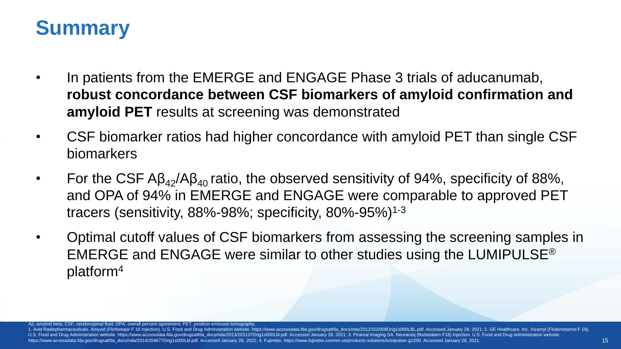## **Summary**

- In patients from the EMERGE and ENGAGE Phase 3 trials of aducanumab, **robust concordance between CSF biomarkers of amyloid confirmation and amyloid PET** results at screening was demonstrated
- CSF biomarker ratios had higher concordance with amyloid PET than single CSF biomarkers
- For the CSF  $AB_{42}/AB_{40}$  ratio, the observed sensitivity of 94%, specificity of 88%, and OPA of 94% in EMERGE and ENGAGE were comparable to approved PET tracers (sensitivity, 88%-98%; specificity, 80%-95%)1-3
- Optimal cutoff values of CSF biomarkers from assessing the screening samples in EMERGE and ENGAGE were similar to other studies using the LUMIPULSE® platform<sup>4</sup>

A $\beta$ , amyloid beta; CSF, cerebrospinal fluid; OPA, overall percent agreement; PET, positron emission tomography

1. Avid Radiopharmaceuticals. Amyvid (Florbetapir F 18 Injection). U.S. Food and Drug Administration website. https://www.accessdata.fda.gov/drugsatfda docs/nda/2012/202008Orig1s000LBL.pdf. Accessed January 28, 2021; 2. GE U.S. Food and Drug Administration website. https://www.accessdata.fda.gov/drugsatfda\_docs/nda/2013/203137Orig1s000Lbl.pdf. Accessed January 28, 2021; 3. Piramal Imaging SA. Neuraceq (florbetaben F18) Injection. U.S. Food a https://www.accessdata.fda.gov/drugsatfda\_docs/nda/2014/204677Orig1s000Lbl.pdf. Accessed January 28, 2021; 4. Fujirebio. https://www.fujirebio.com/en-us/products-solutions/lumipulser-g1200. Accessed January 28, 2021.